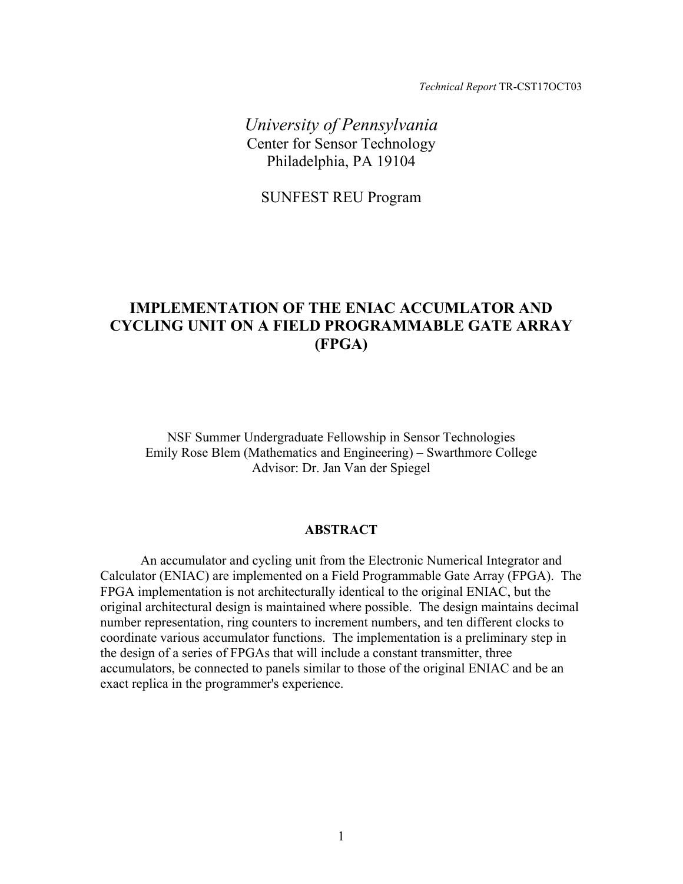*Technical Report* TR-CST17OCT03

*University of Pennsylvania*  Center for Sensor Technology Philadelphia, PA 19104

SUNFEST REU Program

# **IMPLEMENTATION OF THE ENIAC ACCUMLATOR AND CYCLING UNIT ON A FIELD PROGRAMMABLE GATE ARRAY (FPGA)**

NSF Summer Undergraduate Fellowship in Sensor Technologies Emily Rose Blem (Mathematics and Engineering) – Swarthmore College Advisor: Dr. Jan Van der Spiegel

#### **ABSTRACT**

An accumulator and cycling unit from the Electronic Numerical Integrator and Calculator (ENIAC) are implemented on a Field Programmable Gate Array (FPGA). The FPGA implementation is not architecturally identical to the original ENIAC, but the original architectural design is maintained where possible. The design maintains decimal number representation, ring counters to increment numbers, and ten different clocks to coordinate various accumulator functions. The implementation is a preliminary step in the design of a series of FPGAs that will include a constant transmitter, three accumulators, be connected to panels similar to those of the original ENIAC and be an exact replica in the programmer's experience.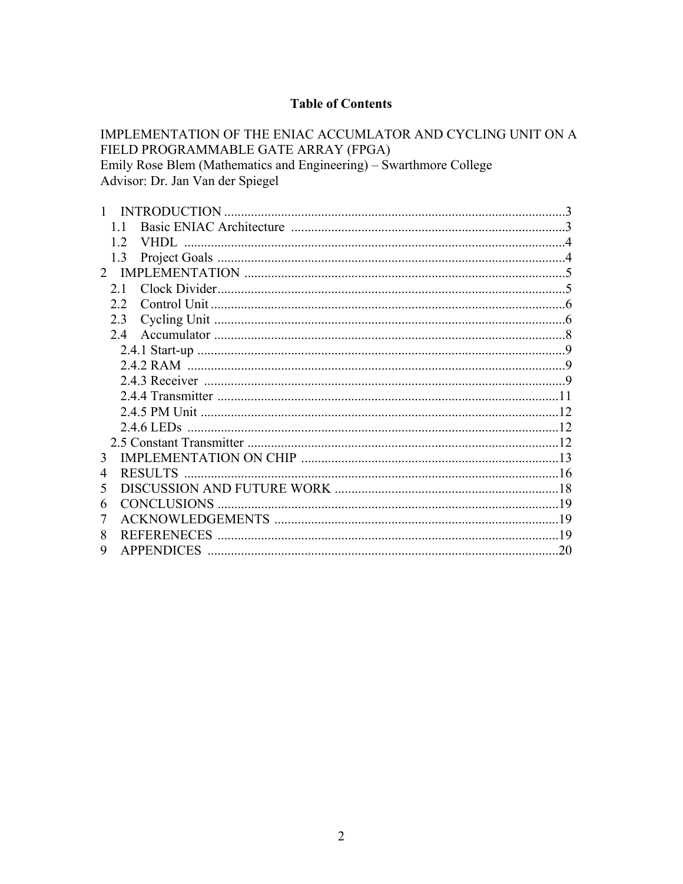## **Table of Contents**

IMPLEMENTATION OF THE ENIAC ACCUMLATOR AND CYCLING UNIT ON A FIELD PROGRAMMABLE GATE ARRAY (FPGA) Emily Rose Blem (Mathematics and Engineering) – Swarthmore College Advisor: Dr. Jan Van der Spiegel

|                | <b>INTRODUCTION</b>    |     |
|----------------|------------------------|-----|
|                |                        |     |
|                | 12<br>VHDL.            |     |
|                | 13                     |     |
| $2^{\circ}$    |                        |     |
|                | 2.1                    |     |
|                | 2.2                    |     |
|                | 23                     |     |
|                | 2.4                    |     |
|                |                        | -9  |
|                |                        |     |
|                |                        |     |
|                |                        |     |
|                |                        |     |
|                | 2.4.6 LED <sub>s</sub> |     |
|                |                        |     |
| 3              |                        |     |
| $\overline{4}$ | <b>RESULTS</b>         |     |
| 5              |                        |     |
| 6              | <b>CONCLUSIONS</b>     | 19  |
| 7              |                        | 19  |
| 8              | <b>REFERENECES</b>     |     |
| 9              | <b>APPENDICES</b>      | .20 |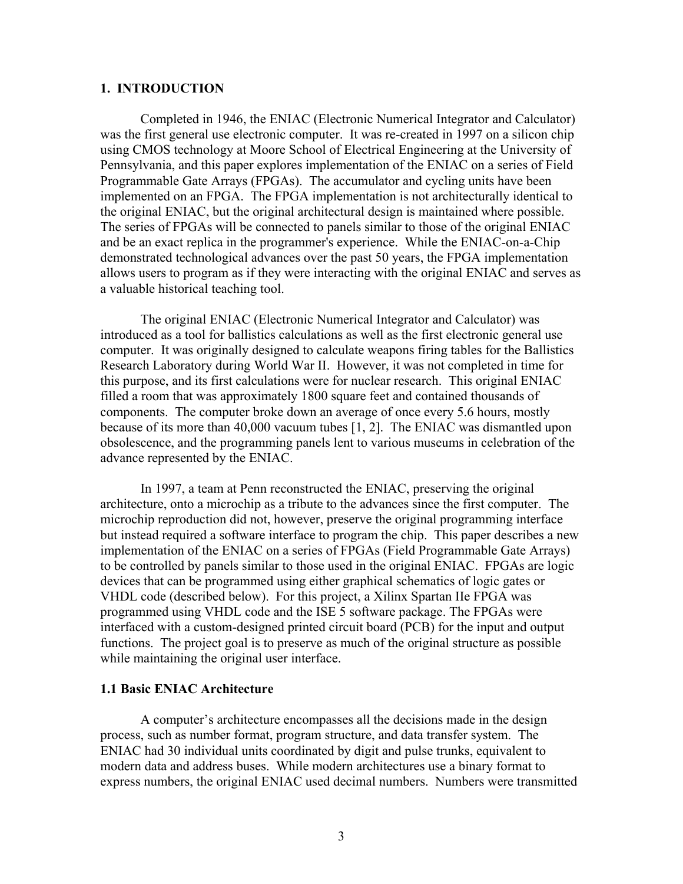#### **1. INTRODUCTION**

Completed in 1946, the ENIAC (Electronic Numerical Integrator and Calculator) was the first general use electronic computer. It was re-created in 1997 on a silicon chip using CMOS technology at Moore School of Electrical Engineering at the University of Pennsylvania, and this paper explores implementation of the ENIAC on a series of Field Programmable Gate Arrays (FPGAs). The accumulator and cycling units have been implemented on an FPGA. The FPGA implementation is not architecturally identical to the original ENIAC, but the original architectural design is maintained where possible. The series of FPGAs will be connected to panels similar to those of the original ENIAC and be an exact replica in the programmer's experience. While the ENIAC-on-a-Chip demonstrated technological advances over the past 50 years, the FPGA implementation allows users to program as if they were interacting with the original ENIAC and serves as a valuable historical teaching tool.

The original ENIAC (Electronic Numerical Integrator and Calculator) was introduced as a tool for ballistics calculations as well as the first electronic general use computer. It was originally designed to calculate weapons firing tables for the Ballistics Research Laboratory during World War II. However, it was not completed in time for this purpose, and its first calculations were for nuclear research. This original ENIAC filled a room that was approximately 1800 square feet and contained thousands of components. The computer broke down an average of once every 5.6 hours, mostly because of its more than 40,000 vacuum tubes [1, 2]. The ENIAC was dismantled upon obsolescence, and the programming panels lent to various museums in celebration of the advance represented by the ENIAC.

In 1997, a team at Penn reconstructed the ENIAC, preserving the original architecture, onto a microchip as a tribute to the advances since the first computer. The microchip reproduction did not, however, preserve the original programming interface but instead required a software interface to program the chip. This paper describes a new implementation of the ENIAC on a series of FPGAs (Field Programmable Gate Arrays) to be controlled by panels similar to those used in the original ENIAC. FPGAs are logic devices that can be programmed using either graphical schematics of logic gates or VHDL code (described below). For this project, a Xilinx Spartan IIe FPGA was programmed using VHDL code and the ISE 5 software package. The FPGAs were interfaced with a custom-designed printed circuit board (PCB) for the input and output functions. The project goal is to preserve as much of the original structure as possible while maintaining the original user interface.

## **1.1 Basic ENIAC Architecture**

A computer's architecture encompasses all the decisions made in the design process, such as number format, program structure, and data transfer system. The ENIAC had 30 individual units coordinated by digit and pulse trunks, equivalent to modern data and address buses. While modern architectures use a binary format to express numbers, the original ENIAC used decimal numbers. Numbers were transmitted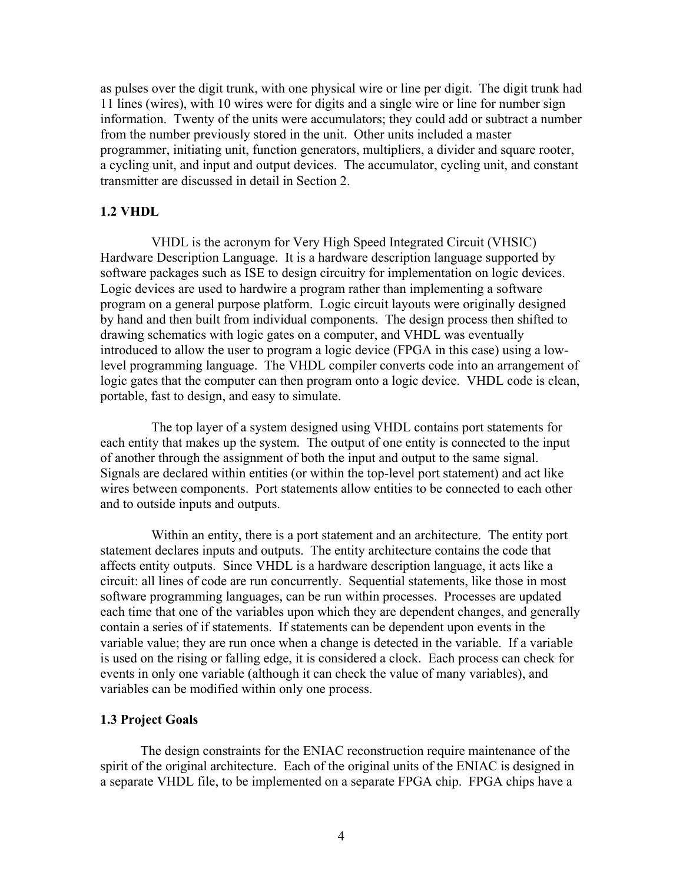as pulses over the digit trunk, with one physical wire or line per digit. The digit trunk had 11 lines (wires), with 10 wires were for digits and a single wire or line for number sign information. Twenty of the units were accumulators; they could add or subtract a number from the number previously stored in the unit. Other units included a master programmer, initiating unit, function generators, multipliers, a divider and square rooter, a cycling unit, and input and output devices. The accumulator, cycling unit, and constant transmitter are discussed in detail in Section 2.

### **1.2 VHDL**

 VHDL is the acronym for Very High Speed Integrated Circuit (VHSIC) Hardware Description Language. It is a hardware description language supported by software packages such as ISE to design circuitry for implementation on logic devices. Logic devices are used to hardwire a program rather than implementing a software program on a general purpose platform. Logic circuit layouts were originally designed by hand and then built from individual components. The design process then shifted to drawing schematics with logic gates on a computer, and VHDL was eventually introduced to allow the user to program a logic device (FPGA in this case) using a lowlevel programming language. The VHDL compiler converts code into an arrangement of logic gates that the computer can then program onto a logic device. VHDL code is clean, portable, fast to design, and easy to simulate.

 The top layer of a system designed using VHDL contains port statements for each entity that makes up the system. The output of one entity is connected to the input of another through the assignment of both the input and output to the same signal. Signals are declared within entities (or within the top-level port statement) and act like wires between components. Port statements allow entities to be connected to each other and to outside inputs and outputs.

 Within an entity, there is a port statement and an architecture. The entity port statement declares inputs and outputs. The entity architecture contains the code that affects entity outputs. Since VHDL is a hardware description language, it acts like a circuit: all lines of code are run concurrently. Sequential statements, like those in most software programming languages, can be run within processes. Processes are updated each time that one of the variables upon which they are dependent changes, and generally contain a series of if statements. If statements can be dependent upon events in the variable value; they are run once when a change is detected in the variable. If a variable is used on the rising or falling edge, it is considered a clock. Each process can check for events in only one variable (although it can check the value of many variables), and variables can be modified within only one process.

#### **1.3 Project Goals**

The design constraints for the ENIAC reconstruction require maintenance of the spirit of the original architecture. Each of the original units of the ENIAC is designed in a separate VHDL file, to be implemented on a separate FPGA chip. FPGA chips have a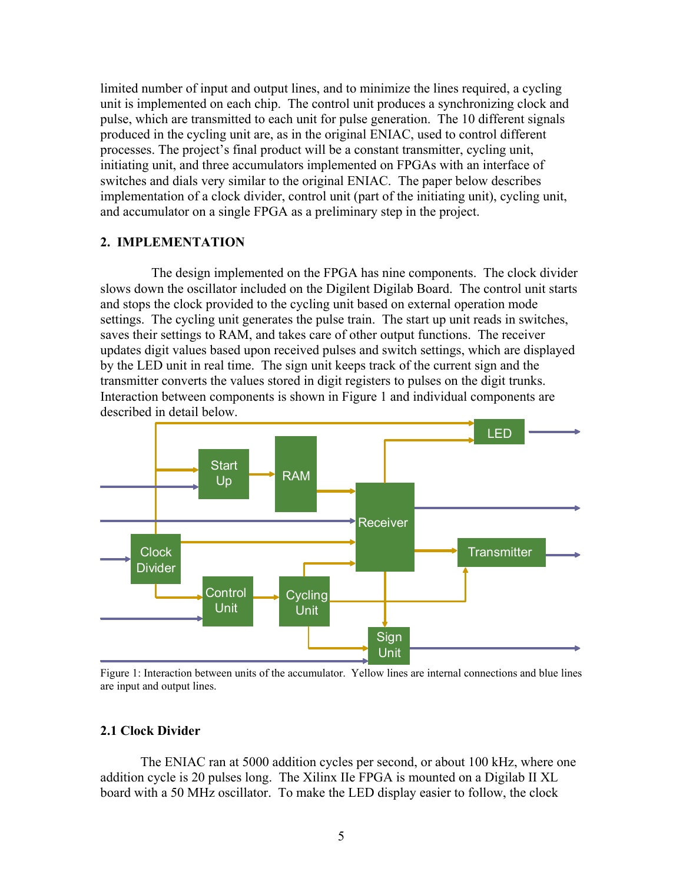limited number of input and output lines, and to minimize the lines required, a cycling unit is implemented on each chip. The control unit produces a synchronizing clock and pulse, which are transmitted to each unit for pulse generation. The 10 different signals produced in the cycling unit are, as in the original ENIAC, used to control different processes. The project's final product will be a constant transmitter, cycling unit, initiating unit, and three accumulators implemented on FPGAs with an interface of switches and dials very similar to the original ENIAC. The paper below describes implementation of a clock divider, control unit (part of the initiating unit), cycling unit, and accumulator on a single FPGA as a preliminary step in the project.

#### **2. IMPLEMENTATION**

The design implemented on the FPGA has nine components. The clock divider slows down the oscillator included on the Digilent Digilab Board. The control unit starts and stops the clock provided to the cycling unit based on external operation mode settings. The cycling unit generates the pulse train. The start up unit reads in switches, saves their settings to RAM, and takes care of other output functions. The receiver updates digit values based upon received pulses and switch settings, which are displayed by the LED unit in real time. The sign unit keeps track of the current sign and the transmitter converts the values stored in digit registers to pulses on the digit trunks. Interaction between components is shown in Figure 1 and individual components are described in detail below.



Figure 1: Interaction between units of the accumulator. Yellow lines are internal connections and blue lines are input and output lines.

## **2.1 Clock Divider**

The ENIAC ran at 5000 addition cycles per second, or about 100 kHz, where one addition cycle is 20 pulses long. The Xilinx IIe FPGA is mounted on a Digilab II XL board with a 50 MHz oscillator. To make the LED display easier to follow, the clock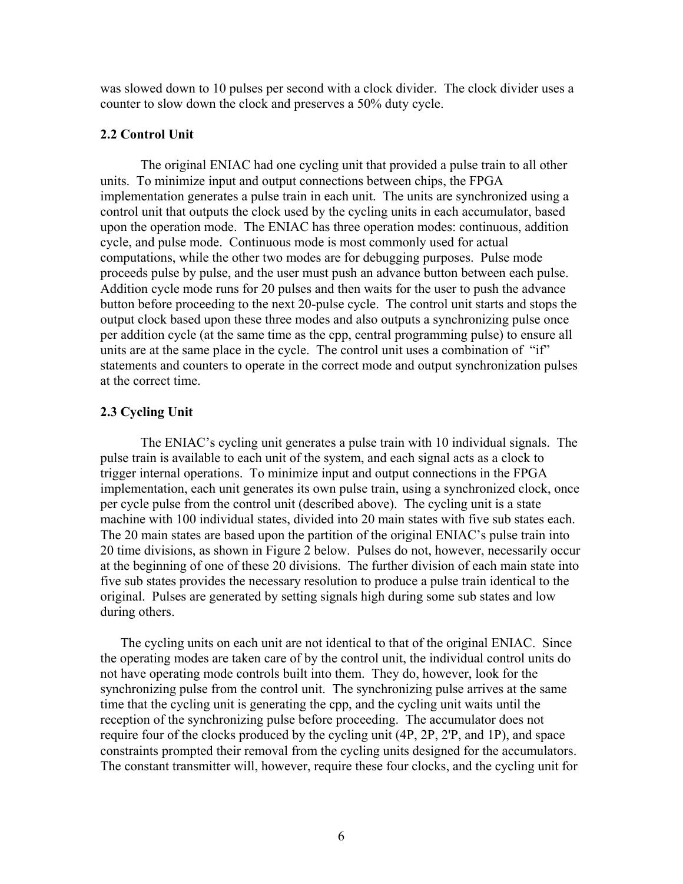was slowed down to 10 pulses per second with a clock divider. The clock divider uses a counter to slow down the clock and preserves a 50% duty cycle.

#### **2.2 Control Unit**

The original ENIAC had one cycling unit that provided a pulse train to all other units. To minimize input and output connections between chips, the FPGA implementation generates a pulse train in each unit. The units are synchronized using a control unit that outputs the clock used by the cycling units in each accumulator, based upon the operation mode. The ENIAC has three operation modes: continuous, addition cycle, and pulse mode. Continuous mode is most commonly used for actual computations, while the other two modes are for debugging purposes. Pulse mode proceeds pulse by pulse, and the user must push an advance button between each pulse. Addition cycle mode runs for 20 pulses and then waits for the user to push the advance button before proceeding to the next 20-pulse cycle. The control unit starts and stops the output clock based upon these three modes and also outputs a synchronizing pulse once per addition cycle (at the same time as the cpp, central programming pulse) to ensure all units are at the same place in the cycle. The control unit uses a combination of "if" statements and counters to operate in the correct mode and output synchronization pulses at the correct time.

## **2.3 Cycling Unit**

The ENIAC's cycling unit generates a pulse train with 10 individual signals. The pulse train is available to each unit of the system, and each signal acts as a clock to trigger internal operations. To minimize input and output connections in the FPGA implementation, each unit generates its own pulse train, using a synchronized clock, once per cycle pulse from the control unit (described above). The cycling unit is a state machine with 100 individual states, divided into 20 main states with five sub states each. The 20 main states are based upon the partition of the original ENIAC's pulse train into 20 time divisions, as shown in Figure 2 below. Pulses do not, however, necessarily occur at the beginning of one of these 20 divisions. The further division of each main state into five sub states provides the necessary resolution to produce a pulse train identical to the original. Pulses are generated by setting signals high during some sub states and low during others.

The cycling units on each unit are not identical to that of the original ENIAC. Since the operating modes are taken care of by the control unit, the individual control units do not have operating mode controls built into them. They do, however, look for the synchronizing pulse from the control unit. The synchronizing pulse arrives at the same time that the cycling unit is generating the cpp, and the cycling unit waits until the reception of the synchronizing pulse before proceeding. The accumulator does not require four of the clocks produced by the cycling unit (4P, 2P, 2'P, and 1P), and space constraints prompted their removal from the cycling units designed for the accumulators. The constant transmitter will, however, require these four clocks, and the cycling unit for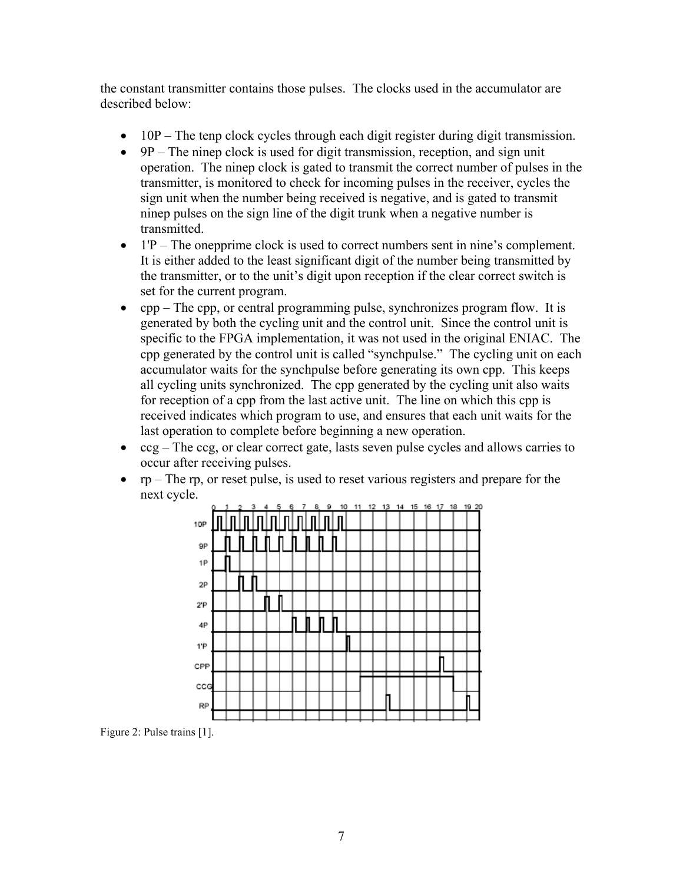the constant transmitter contains those pulses. The clocks used in the accumulator are described below:

- 10P The tenp clock cycles through each digit register during digit transmission.
- 9P The ninep clock is used for digit transmission, reception, and sign unit operation. The ninep clock is gated to transmit the correct number of pulses in the transmitter, is monitored to check for incoming pulses in the receiver, cycles the sign unit when the number being received is negative, and is gated to transmit ninep pulses on the sign line of the digit trunk when a negative number is transmitted.
- 1'P The onepprime clock is used to correct numbers sent in nine's complement. It is either added to the least significant digit of the number being transmitted by the transmitter, or to the unit's digit upon reception if the clear correct switch is set for the current program.
- cpp The cpp, or central programming pulse, synchronizes program flow. It is generated by both the cycling unit and the control unit. Since the control unit is specific to the FPGA implementation, it was not used in the original ENIAC. The cpp generated by the control unit is called "synchpulse." The cycling unit on each accumulator waits for the synchpulse before generating its own cpp. This keeps all cycling units synchronized. The cpp generated by the cycling unit also waits for reception of a cpp from the last active unit. The line on which this cpp is received indicates which program to use, and ensures that each unit waits for the last operation to complete before beginning a new operation.
- ccg The ccg, or clear correct gate, lasts seven pulse cycles and allows carries to occur after receiving pulses.
- rp The rp, or reset pulse, is used to reset various registers and prepare for the next cycle.



Figure 2: Pulse trains [1].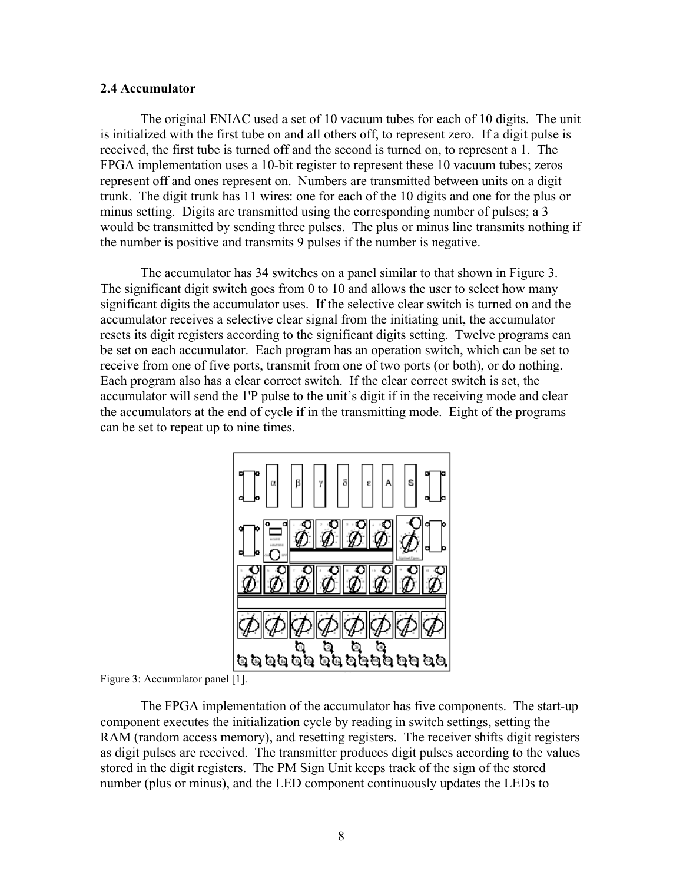#### **2.4 Accumulator**

The original ENIAC used a set of 10 vacuum tubes for each of 10 digits. The unit is initialized with the first tube on and all others off, to represent zero. If a digit pulse is received, the first tube is turned off and the second is turned on, to represent a 1. The FPGA implementation uses a 10-bit register to represent these 10 vacuum tubes; zeros represent off and ones represent on. Numbers are transmitted between units on a digit trunk. The digit trunk has 11 wires: one for each of the 10 digits and one for the plus or minus setting. Digits are transmitted using the corresponding number of pulses; a 3 would be transmitted by sending three pulses. The plus or minus line transmits nothing if the number is positive and transmits 9 pulses if the number is negative.

The accumulator has 34 switches on a panel similar to that shown in Figure 3. The significant digit switch goes from 0 to 10 and allows the user to select how many significant digits the accumulator uses. If the selective clear switch is turned on and the accumulator receives a selective clear signal from the initiating unit, the accumulator resets its digit registers according to the significant digits setting. Twelve programs can be set on each accumulator. Each program has an operation switch, which can be set to receive from one of five ports, transmit from one of two ports (or both), or do nothing. Each program also has a clear correct switch. If the clear correct switch is set, the accumulator will send the 1'P pulse to the unit's digit if in the receiving mode and clear the accumulators at the end of cycle if in the transmitting mode. Eight of the programs can be set to repeat up to nine times.



Figure 3: Accumulator panel [1].

The FPGA implementation of the accumulator has five components. The start-up component executes the initialization cycle by reading in switch settings, setting the RAM (random access memory), and resetting registers. The receiver shifts digit registers as digit pulses are received. The transmitter produces digit pulses according to the values stored in the digit registers. The PM Sign Unit keeps track of the sign of the stored number (plus or minus), and the LED component continuously updates the LEDs to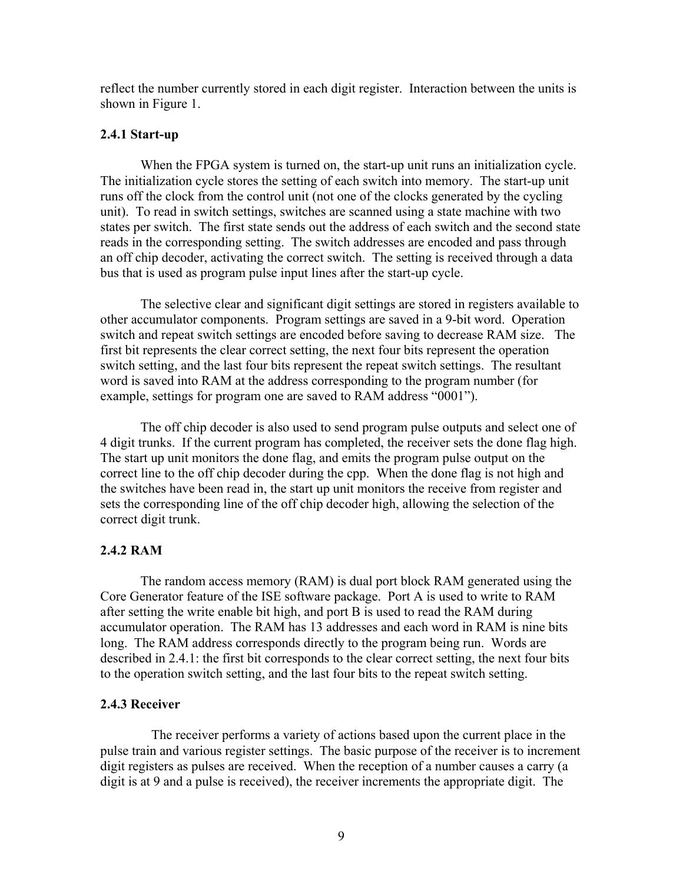reflect the number currently stored in each digit register. Interaction between the units is shown in Figure 1.

#### **2.4.1 Start-up**

When the FPGA system is turned on, the start-up unit runs an initialization cycle. The initialization cycle stores the setting of each switch into memory. The start-up unit runs off the clock from the control unit (not one of the clocks generated by the cycling unit). To read in switch settings, switches are scanned using a state machine with two states per switch. The first state sends out the address of each switch and the second state reads in the corresponding setting. The switch addresses are encoded and pass through an off chip decoder, activating the correct switch. The setting is received through a data bus that is used as program pulse input lines after the start-up cycle.

The selective clear and significant digit settings are stored in registers available to other accumulator components. Program settings are saved in a 9-bit word. Operation switch and repeat switch settings are encoded before saving to decrease RAM size. The first bit represents the clear correct setting, the next four bits represent the operation switch setting, and the last four bits represent the repeat switch settings. The resultant word is saved into RAM at the address corresponding to the program number (for example, settings for program one are saved to RAM address "0001").

The off chip decoder is also used to send program pulse outputs and select one of 4 digit trunks. If the current program has completed, the receiver sets the done flag high. The start up unit monitors the done flag, and emits the program pulse output on the correct line to the off chip decoder during the cpp. When the done flag is not high and the switches have been read in, the start up unit monitors the receive from register and sets the corresponding line of the off chip decoder high, allowing the selection of the correct digit trunk.

#### **2.4.2 RAM**

The random access memory (RAM) is dual port block RAM generated using the Core Generator feature of the ISE software package. Port A is used to write to RAM after setting the write enable bit high, and port B is used to read the RAM during accumulator operation. The RAM has 13 addresses and each word in RAM is nine bits long. The RAM address corresponds directly to the program being run. Words are described in 2.4.1: the first bit corresponds to the clear correct setting, the next four bits to the operation switch setting, and the last four bits to the repeat switch setting.

#### **2.4.3 Receiver**

 The receiver performs a variety of actions based upon the current place in the pulse train and various register settings. The basic purpose of the receiver is to increment digit registers as pulses are received. When the reception of a number causes a carry (a digit is at 9 and a pulse is received), the receiver increments the appropriate digit. The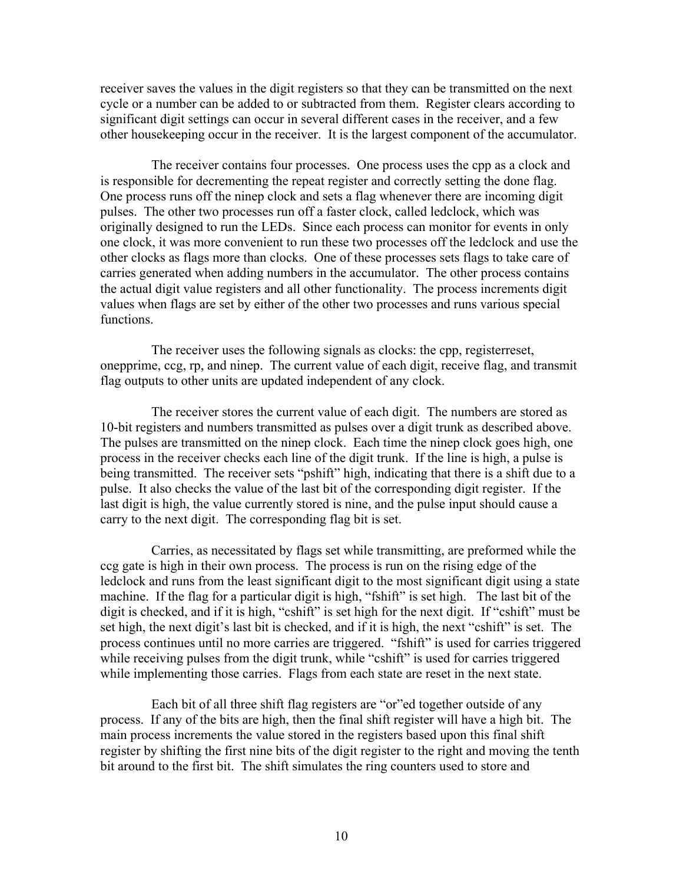receiver saves the values in the digit registers so that they can be transmitted on the next cycle or a number can be added to or subtracted from them. Register clears according to significant digit settings can occur in several different cases in the receiver, and a few other housekeeping occur in the receiver. It is the largest component of the accumulator.

 The receiver contains four processes. One process uses the cpp as a clock and is responsible for decrementing the repeat register and correctly setting the done flag. One process runs off the ninep clock and sets a flag whenever there are incoming digit pulses. The other two processes run off a faster clock, called ledclock, which was originally designed to run the LEDs. Since each process can monitor for events in only one clock, it was more convenient to run these two processes off the ledclock and use the other clocks as flags more than clocks. One of these processes sets flags to take care of carries generated when adding numbers in the accumulator. The other process contains the actual digit value registers and all other functionality. The process increments digit values when flags are set by either of the other two processes and runs various special functions.

 The receiver uses the following signals as clocks: the cpp, registerreset, onepprime, ccg, rp, and ninep. The current value of each digit, receive flag, and transmit flag outputs to other units are updated independent of any clock.

 The receiver stores the current value of each digit. The numbers are stored as 10-bit registers and numbers transmitted as pulses over a digit trunk as described above. The pulses are transmitted on the ninep clock. Each time the ninep clock goes high, one process in the receiver checks each line of the digit trunk. If the line is high, a pulse is being transmitted. The receiver sets "pshift" high, indicating that there is a shift due to a pulse. It also checks the value of the last bit of the corresponding digit register. If the last digit is high, the value currently stored is nine, and the pulse input should cause a carry to the next digit. The corresponding flag bit is set.

 Carries, as necessitated by flags set while transmitting, are preformed while the ccg gate is high in their own process. The process is run on the rising edge of the ledclock and runs from the least significant digit to the most significant digit using a state machine. If the flag for a particular digit is high, "fshift" is set high. The last bit of the digit is checked, and if it is high, "cshift" is set high for the next digit. If "cshift" must be set high, the next digit's last bit is checked, and if it is high, the next "cshift" is set. The process continues until no more carries are triggered. "fshift" is used for carries triggered while receiving pulses from the digit trunk, while "cshift" is used for carries triggered while implementing those carries. Flags from each state are reset in the next state.

 Each bit of all three shift flag registers are "or"ed together outside of any process. If any of the bits are high, then the final shift register will have a high bit. The main process increments the value stored in the registers based upon this final shift register by shifting the first nine bits of the digit register to the right and moving the tenth bit around to the first bit. The shift simulates the ring counters used to store and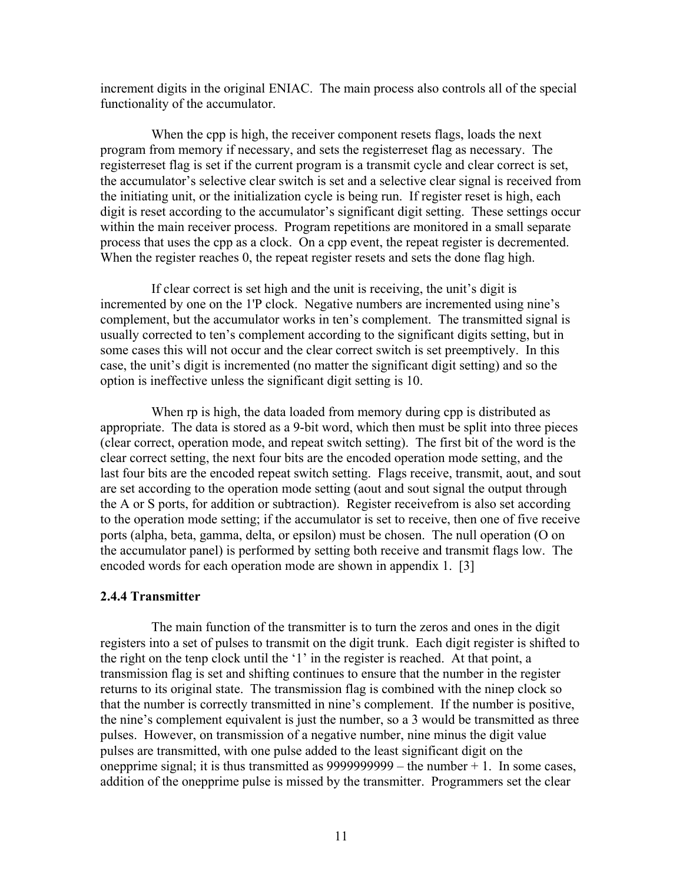increment digits in the original ENIAC. The main process also controls all of the special functionality of the accumulator.

 When the cpp is high, the receiver component resets flags, loads the next program from memory if necessary, and sets the registerreset flag as necessary. The registerreset flag is set if the current program is a transmit cycle and clear correct is set, the accumulator's selective clear switch is set and a selective clear signal is received from the initiating unit, or the initialization cycle is being run. If register reset is high, each digit is reset according to the accumulator's significant digit setting. These settings occur within the main receiver process. Program repetitions are monitored in a small separate process that uses the cpp as a clock. On a cpp event, the repeat register is decremented. When the register reaches 0, the repeat register resets and sets the done flag high.

 If clear correct is set high and the unit is receiving, the unit's digit is incremented by one on the 1'P clock. Negative numbers are incremented using nine's complement, but the accumulator works in ten's complement. The transmitted signal is usually corrected to ten's complement according to the significant digits setting, but in some cases this will not occur and the clear correct switch is set preemptively. In this case, the unit's digit is incremented (no matter the significant digit setting) and so the option is ineffective unless the significant digit setting is 10.

When rp is high, the data loaded from memory during cpp is distributed as appropriate. The data is stored as a 9-bit word, which then must be split into three pieces (clear correct, operation mode, and repeat switch setting). The first bit of the word is the clear correct setting, the next four bits are the encoded operation mode setting, and the last four bits are the encoded repeat switch setting. Flags receive, transmit, aout, and sout are set according to the operation mode setting (aout and sout signal the output through the A or S ports, for addition or subtraction). Register receivefrom is also set according to the operation mode setting; if the accumulator is set to receive, then one of five receive ports (alpha, beta, gamma, delta, or epsilon) must be chosen. The null operation (O on the accumulator panel) is performed by setting both receive and transmit flags low. The encoded words for each operation mode are shown in appendix 1. [3]

#### **2.4.4 Transmitter**

 The main function of the transmitter is to turn the zeros and ones in the digit registers into a set of pulses to transmit on the digit trunk. Each digit register is shifted to the right on the tenp clock until the '1' in the register is reached. At that point, a transmission flag is set and shifting continues to ensure that the number in the register returns to its original state. The transmission flag is combined with the ninep clock so that the number is correctly transmitted in nine's complement. If the number is positive, the nine's complement equivalent is just the number, so a 3 would be transmitted as three pulses. However, on transmission of a negative number, nine minus the digit value pulses are transmitted, with one pulse added to the least significant digit on the onepprime signal; it is thus transmitted as  $99999999999 -$  the number  $+ 1$ . In some cases, addition of the onepprime pulse is missed by the transmitter. Programmers set the clear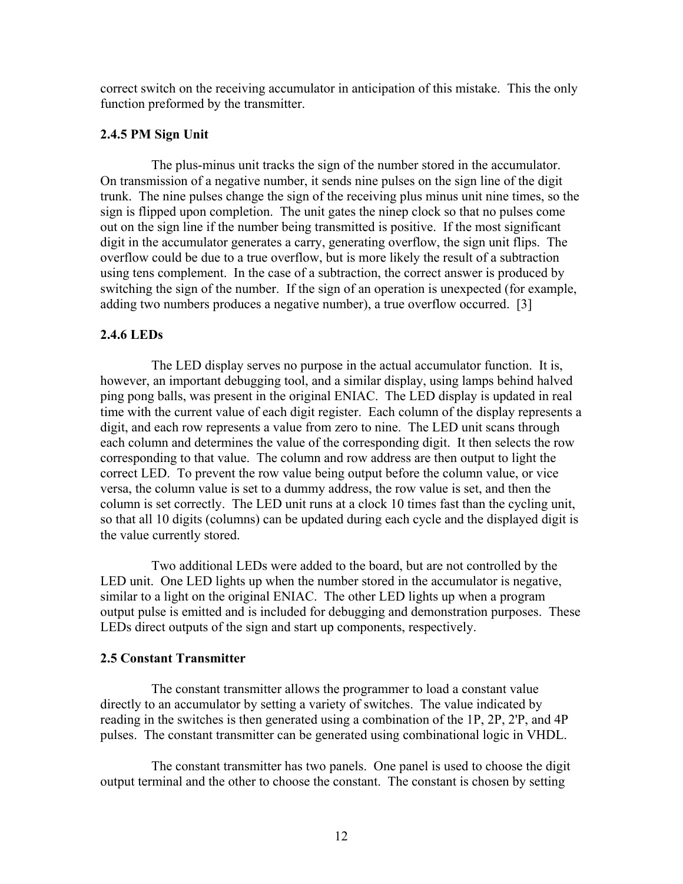correct switch on the receiving accumulator in anticipation of this mistake. This the only function preformed by the transmitter.

#### **2.4.5 PM Sign Unit**

 The plus-minus unit tracks the sign of the number stored in the accumulator. On transmission of a negative number, it sends nine pulses on the sign line of the digit trunk. The nine pulses change the sign of the receiving plus minus unit nine times, so the sign is flipped upon completion. The unit gates the ninep clock so that no pulses come out on the sign line if the number being transmitted is positive. If the most significant digit in the accumulator generates a carry, generating overflow, the sign unit flips. The overflow could be due to a true overflow, but is more likely the result of a subtraction using tens complement. In the case of a subtraction, the correct answer is produced by switching the sign of the number. If the sign of an operation is unexpected (for example, adding two numbers produces a negative number), a true overflow occurred. [3]

#### **2.4.6 LEDs**

 The LED display serves no purpose in the actual accumulator function. It is, however, an important debugging tool, and a similar display, using lamps behind halved ping pong balls, was present in the original ENIAC. The LED display is updated in real time with the current value of each digit register. Each column of the display represents a digit, and each row represents a value from zero to nine. The LED unit scans through each column and determines the value of the corresponding digit. It then selects the row corresponding to that value. The column and row address are then output to light the correct LED. To prevent the row value being output before the column value, or vice versa, the column value is set to a dummy address, the row value is set, and then the column is set correctly. The LED unit runs at a clock 10 times fast than the cycling unit, so that all 10 digits (columns) can be updated during each cycle and the displayed digit is the value currently stored.

 Two additional LEDs were added to the board, but are not controlled by the LED unit. One LED lights up when the number stored in the accumulator is negative, similar to a light on the original ENIAC. The other LED lights up when a program output pulse is emitted and is included for debugging and demonstration purposes. These LEDs direct outputs of the sign and start up components, respectively.

#### **2.5 Constant Transmitter**

 The constant transmitter allows the programmer to load a constant value directly to an accumulator by setting a variety of switches. The value indicated by reading in the switches is then generated using a combination of the 1P, 2P, 2'P, and 4P pulses. The constant transmitter can be generated using combinational logic in VHDL.

 The constant transmitter has two panels. One panel is used to choose the digit output terminal and the other to choose the constant. The constant is chosen by setting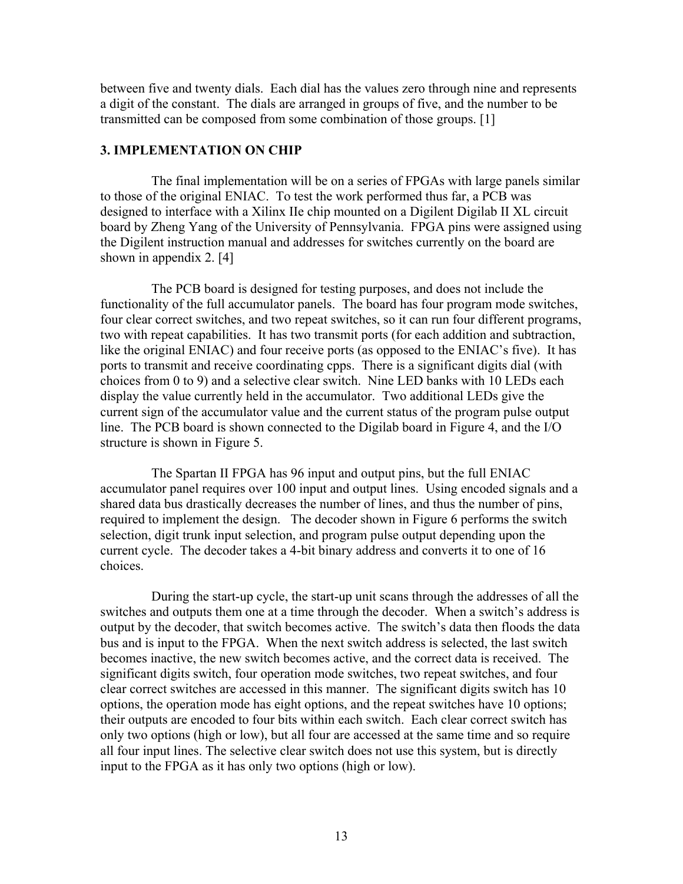between five and twenty dials. Each dial has the values zero through nine and represents a digit of the constant. The dials are arranged in groups of five, and the number to be transmitted can be composed from some combination of those groups. [1]

## **3. IMPLEMENTATION ON CHIP**

 The final implementation will be on a series of FPGAs with large panels similar to those of the original ENIAC. To test the work performed thus far, a PCB was designed to interface with a Xilinx IIe chip mounted on a Digilent Digilab II XL circuit board by Zheng Yang of the University of Pennsylvania. FPGA pins were assigned using the Digilent instruction manual and addresses for switches currently on the board are shown in appendix 2. [4]

 The PCB board is designed for testing purposes, and does not include the functionality of the full accumulator panels. The board has four program mode switches, four clear correct switches, and two repeat switches, so it can run four different programs, two with repeat capabilities. It has two transmit ports (for each addition and subtraction, like the original ENIAC) and four receive ports (as opposed to the ENIAC's five). It has ports to transmit and receive coordinating cpps. There is a significant digits dial (with choices from 0 to 9) and a selective clear switch. Nine LED banks with 10 LEDs each display the value currently held in the accumulator. Two additional LEDs give the current sign of the accumulator value and the current status of the program pulse output line. The PCB board is shown connected to the Digilab board in Figure 4, and the I/O structure is shown in Figure 5.

 The Spartan II FPGA has 96 input and output pins, but the full ENIAC accumulator panel requires over 100 input and output lines. Using encoded signals and a shared data bus drastically decreases the number of lines, and thus the number of pins, required to implement the design. The decoder shown in Figure 6 performs the switch selection, digit trunk input selection, and program pulse output depending upon the current cycle. The decoder takes a 4-bit binary address and converts it to one of 16 choices.

 During the start-up cycle, the start-up unit scans through the addresses of all the switches and outputs them one at a time through the decoder. When a switch's address is output by the decoder, that switch becomes active. The switch's data then floods the data bus and is input to the FPGA. When the next switch address is selected, the last switch becomes inactive, the new switch becomes active, and the correct data is received. The significant digits switch, four operation mode switches, two repeat switches, and four clear correct switches are accessed in this manner. The significant digits switch has 10 options, the operation mode has eight options, and the repeat switches have 10 options; their outputs are encoded to four bits within each switch. Each clear correct switch has only two options (high or low), but all four are accessed at the same time and so require all four input lines. The selective clear switch does not use this system, but is directly input to the FPGA as it has only two options (high or low).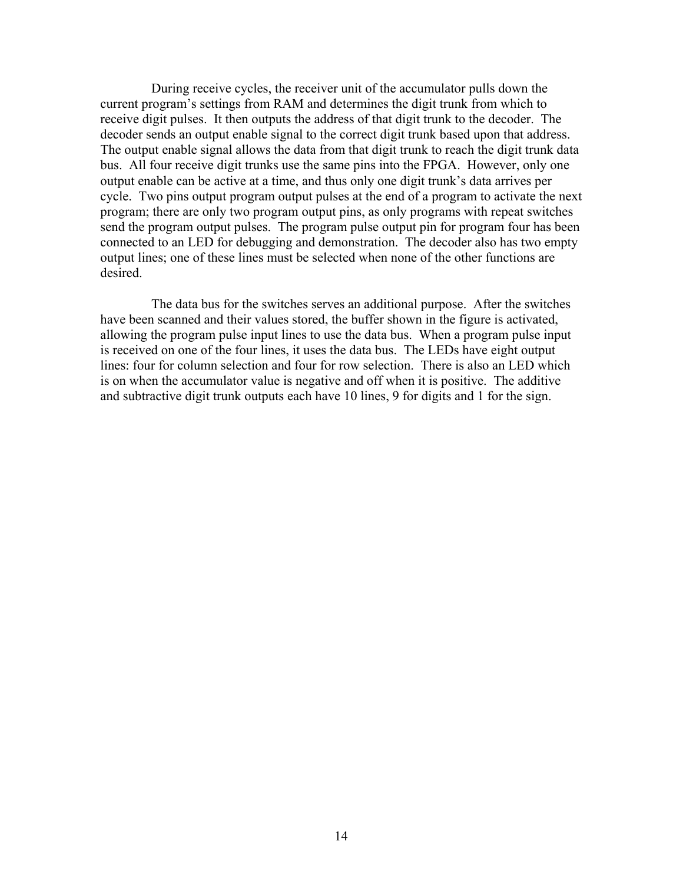During receive cycles, the receiver unit of the accumulator pulls down the current program's settings from RAM and determines the digit trunk from which to receive digit pulses. It then outputs the address of that digit trunk to the decoder. The decoder sends an output enable signal to the correct digit trunk based upon that address. The output enable signal allows the data from that digit trunk to reach the digit trunk data bus. All four receive digit trunks use the same pins into the FPGA. However, only one output enable can be active at a time, and thus only one digit trunk's data arrives per cycle. Two pins output program output pulses at the end of a program to activate the next program; there are only two program output pins, as only programs with repeat switches send the program output pulses. The program pulse output pin for program four has been connected to an LED for debugging and demonstration. The decoder also has two empty output lines; one of these lines must be selected when none of the other functions are desired.

 The data bus for the switches serves an additional purpose. After the switches have been scanned and their values stored, the buffer shown in the figure is activated, allowing the program pulse input lines to use the data bus. When a program pulse input is received on one of the four lines, it uses the data bus. The LEDs have eight output lines: four for column selection and four for row selection. There is also an LED which is on when the accumulator value is negative and off when it is positive. The additive and subtractive digit trunk outputs each have 10 lines, 9 for digits and 1 for the sign.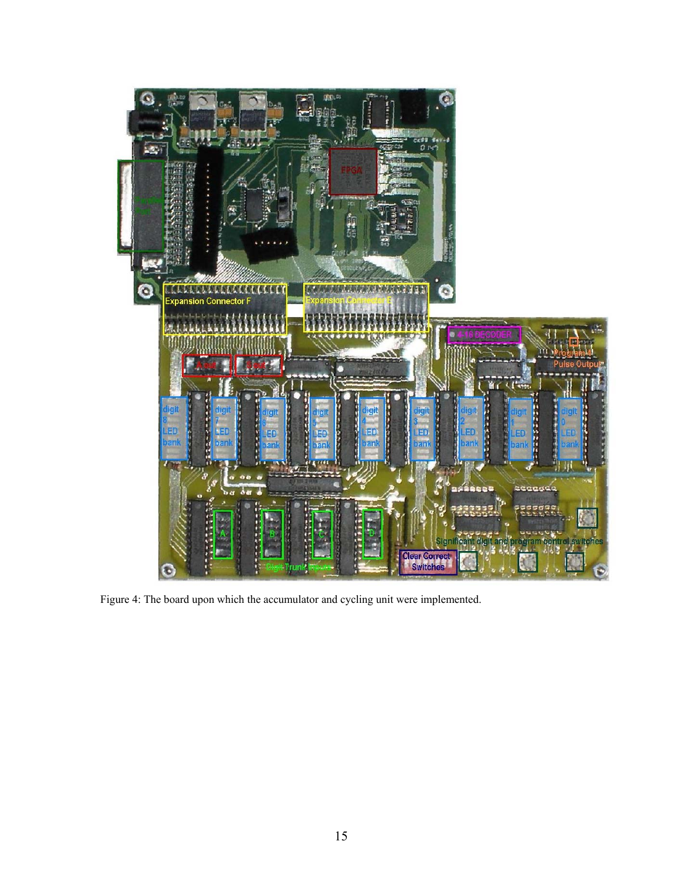

Figure 4: The board upon which the accumulator and cycling unit were implemented.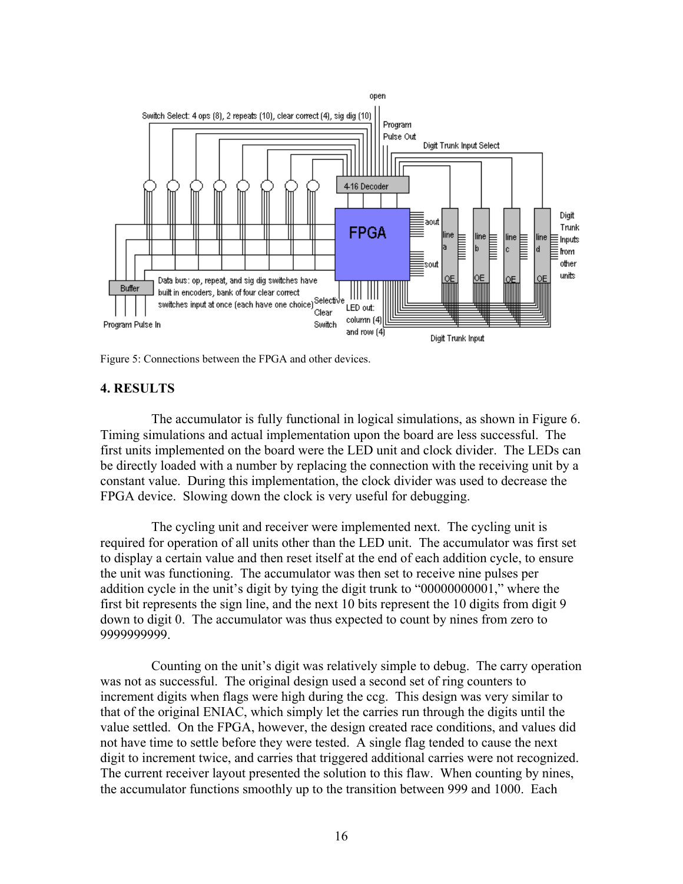

Figure 5: Connections between the FPGA and other devices.

## **4. RESULTS**

 The accumulator is fully functional in logical simulations, as shown in Figure 6. Timing simulations and actual implementation upon the board are less successful. The first units implemented on the board were the LED unit and clock divider. The LEDs can be directly loaded with a number by replacing the connection with the receiving unit by a constant value. During this implementation, the clock divider was used to decrease the FPGA device. Slowing down the clock is very useful for debugging.

 The cycling unit and receiver were implemented next. The cycling unit is required for operation of all units other than the LED unit. The accumulator was first set to display a certain value and then reset itself at the end of each addition cycle, to ensure the unit was functioning. The accumulator was then set to receive nine pulses per addition cycle in the unit's digit by tying the digit trunk to "00000000001," where the first bit represents the sign line, and the next 10 bits represent the 10 digits from digit 9 down to digit 0. The accumulator was thus expected to count by nines from zero to 9999999999.

 Counting on the unit's digit was relatively simple to debug. The carry operation was not as successful. The original design used a second set of ring counters to increment digits when flags were high during the ccg. This design was very similar to that of the original ENIAC, which simply let the carries run through the digits until the value settled. On the FPGA, however, the design created race conditions, and values did not have time to settle before they were tested. A single flag tended to cause the next digit to increment twice, and carries that triggered additional carries were not recognized. The current receiver layout presented the solution to this flaw. When counting by nines, the accumulator functions smoothly up to the transition between 999 and 1000. Each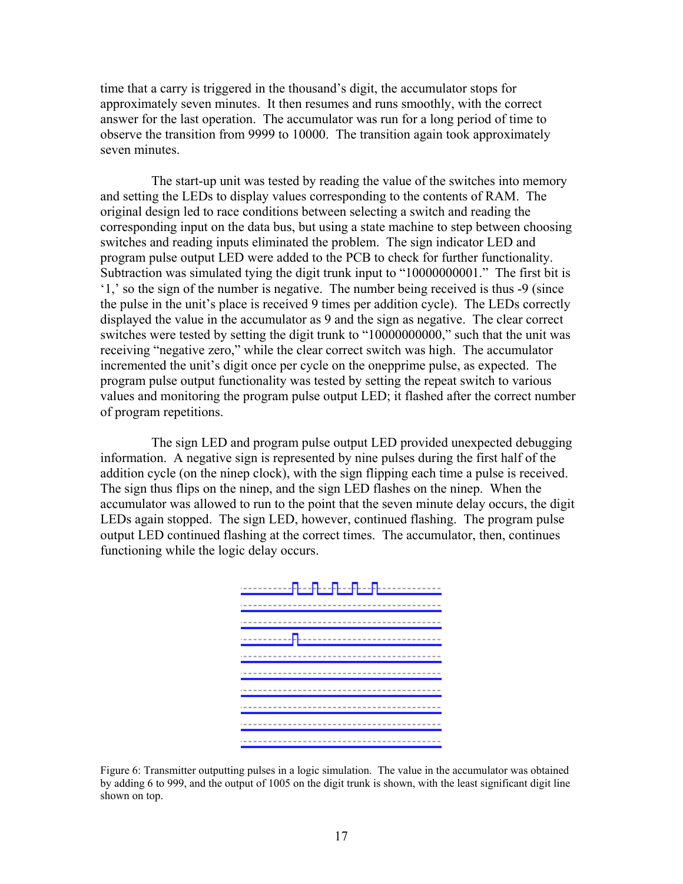time that a carry is triggered in the thousand's digit, the accumulator stops for approximately seven minutes. It then resumes and runs smoothly, with the correct answer for the last operation. The accumulator was run for a long period of time to observe the transition from 9999 to 10000. The transition again took approximately seven minutes.

 The start-up unit was tested by reading the value of the switches into memory and setting the LEDs to display values corresponding to the contents of RAM. The original design led to race conditions between selecting a switch and reading the corresponding input on the data bus, but using a state machine to step between choosing switches and reading inputs eliminated the problem. The sign indicator LED and program pulse output LED were added to the PCB to check for further functionality. Subtraction was simulated tying the digit trunk input to "10000000001." The first bit is '1,' so the sign of the number is negative. The number being received is thus -9 (since the pulse in the unit's place is received 9 times per addition cycle). The LEDs correctly displayed the value in the accumulator as 9 and the sign as negative. The clear correct switches were tested by setting the digit trunk to "10000000000," such that the unit was receiving "negative zero," while the clear correct switch was high. The accumulator incremented the unit's digit once per cycle on the onepprime pulse, as expected. The program pulse output functionality was tested by setting the repeat switch to various values and monitoring the program pulse output LED; it flashed after the correct number of program repetitions.

 The sign LED and program pulse output LED provided unexpected debugging information. A negative sign is represented by nine pulses during the first half of the addition cycle (on the ninep clock), with the sign flipping each time a pulse is received. The sign thus flips on the ninep, and the sign LED flashes on the ninep. When the accumulator was allowed to run to the point that the seven minute delay occurs, the digit LEDs again stopped. The sign LED, however, continued flashing. The program pulse output LED continued flashing at the correct times. The accumulator, then, continues functioning while the logic delay occurs.



Figure 6: Transmitter outputting pulses in a logic simulation. The value in the accumulator was obtained by adding 6 to 999, and the output of 1005 on the digit trunk is shown, with the least significant digit line shown on top.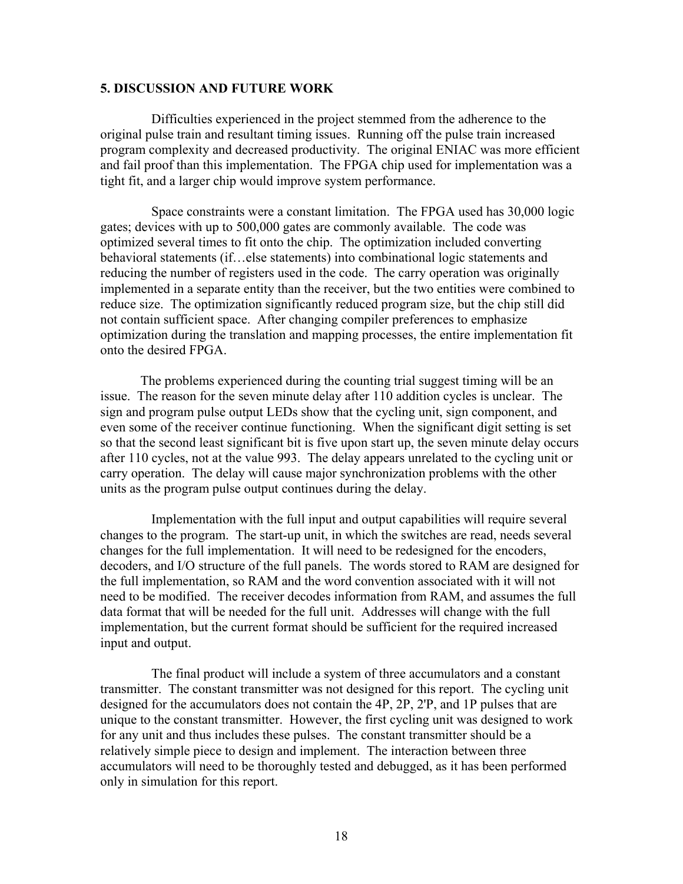#### **5. DISCUSSION AND FUTURE WORK**

 Difficulties experienced in the project stemmed from the adherence to the original pulse train and resultant timing issues. Running off the pulse train increased program complexity and decreased productivity. The original ENIAC was more efficient and fail proof than this implementation. The FPGA chip used for implementation was a tight fit, and a larger chip would improve system performance.

 Space constraints were a constant limitation. The FPGA used has 30,000 logic gates; devices with up to 500,000 gates are commonly available. The code was optimized several times to fit onto the chip. The optimization included converting behavioral statements (if…else statements) into combinational logic statements and reducing the number of registers used in the code. The carry operation was originally implemented in a separate entity than the receiver, but the two entities were combined to reduce size. The optimization significantly reduced program size, but the chip still did not contain sufficient space. After changing compiler preferences to emphasize optimization during the translation and mapping processes, the entire implementation fit onto the desired FPGA.

The problems experienced during the counting trial suggest timing will be an issue. The reason for the seven minute delay after 110 addition cycles is unclear. The sign and program pulse output LEDs show that the cycling unit, sign component, and even some of the receiver continue functioning. When the significant digit setting is set so that the second least significant bit is five upon start up, the seven minute delay occurs after 110 cycles, not at the value 993. The delay appears unrelated to the cycling unit or carry operation. The delay will cause major synchronization problems with the other units as the program pulse output continues during the delay.

 Implementation with the full input and output capabilities will require several changes to the program. The start-up unit, in which the switches are read, needs several changes for the full implementation. It will need to be redesigned for the encoders, decoders, and I/O structure of the full panels. The words stored to RAM are designed for the full implementation, so RAM and the word convention associated with it will not need to be modified. The receiver decodes information from RAM, and assumes the full data format that will be needed for the full unit. Addresses will change with the full implementation, but the current format should be sufficient for the required increased input and output.

 The final product will include a system of three accumulators and a constant transmitter. The constant transmitter was not designed for this report. The cycling unit designed for the accumulators does not contain the 4P, 2P, 2'P, and 1P pulses that are unique to the constant transmitter. However, the first cycling unit was designed to work for any unit and thus includes these pulses. The constant transmitter should be a relatively simple piece to design and implement. The interaction between three accumulators will need to be thoroughly tested and debugged, as it has been performed only in simulation for this report.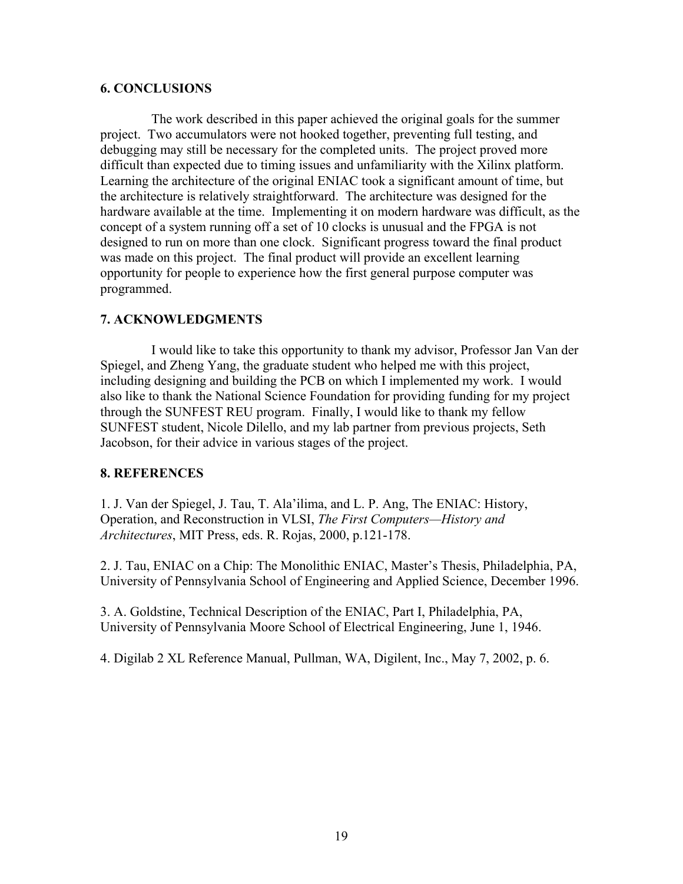#### **6. CONCLUSIONS**

 The work described in this paper achieved the original goals for the summer project. Two accumulators were not hooked together, preventing full testing, and debugging may still be necessary for the completed units. The project proved more difficult than expected due to timing issues and unfamiliarity with the Xilinx platform. Learning the architecture of the original ENIAC took a significant amount of time, but the architecture is relatively straightforward. The architecture was designed for the hardware available at the time. Implementing it on modern hardware was difficult, as the concept of a system running off a set of 10 clocks is unusual and the FPGA is not designed to run on more than one clock. Significant progress toward the final product was made on this project. The final product will provide an excellent learning opportunity for people to experience how the first general purpose computer was programmed.

## **7. ACKNOWLEDGMENTS**

 I would like to take this opportunity to thank my advisor, Professor Jan Van der Spiegel, and Zheng Yang, the graduate student who helped me with this project, including designing and building the PCB on which I implemented my work. I would also like to thank the National Science Foundation for providing funding for my project through the SUNFEST REU program. Finally, I would like to thank my fellow SUNFEST student, Nicole Dilello, and my lab partner from previous projects, Seth Jacobson, for their advice in various stages of the project.

## **8. REFERENCES**

1. J. Van der Spiegel, J. Tau, T. Ala'ilima, and L. P. Ang, The ENIAC: History, Operation, and Reconstruction in VLSI, *The First Computers—History and Architectures*, MIT Press, eds. R. Rojas, 2000, p.121-178.

2. J. Tau, ENIAC on a Chip: The Monolithic ENIAC, Master's Thesis, Philadelphia, PA, University of Pennsylvania School of Engineering and Applied Science, December 1996.

3. A. Goldstine, Technical Description of the ENIAC, Part I, Philadelphia, PA, University of Pennsylvania Moore School of Electrical Engineering, June 1, 1946.

4. Digilab 2 XL Reference Manual, Pullman, WA, Digilent, Inc., May 7, 2002, p. 6.